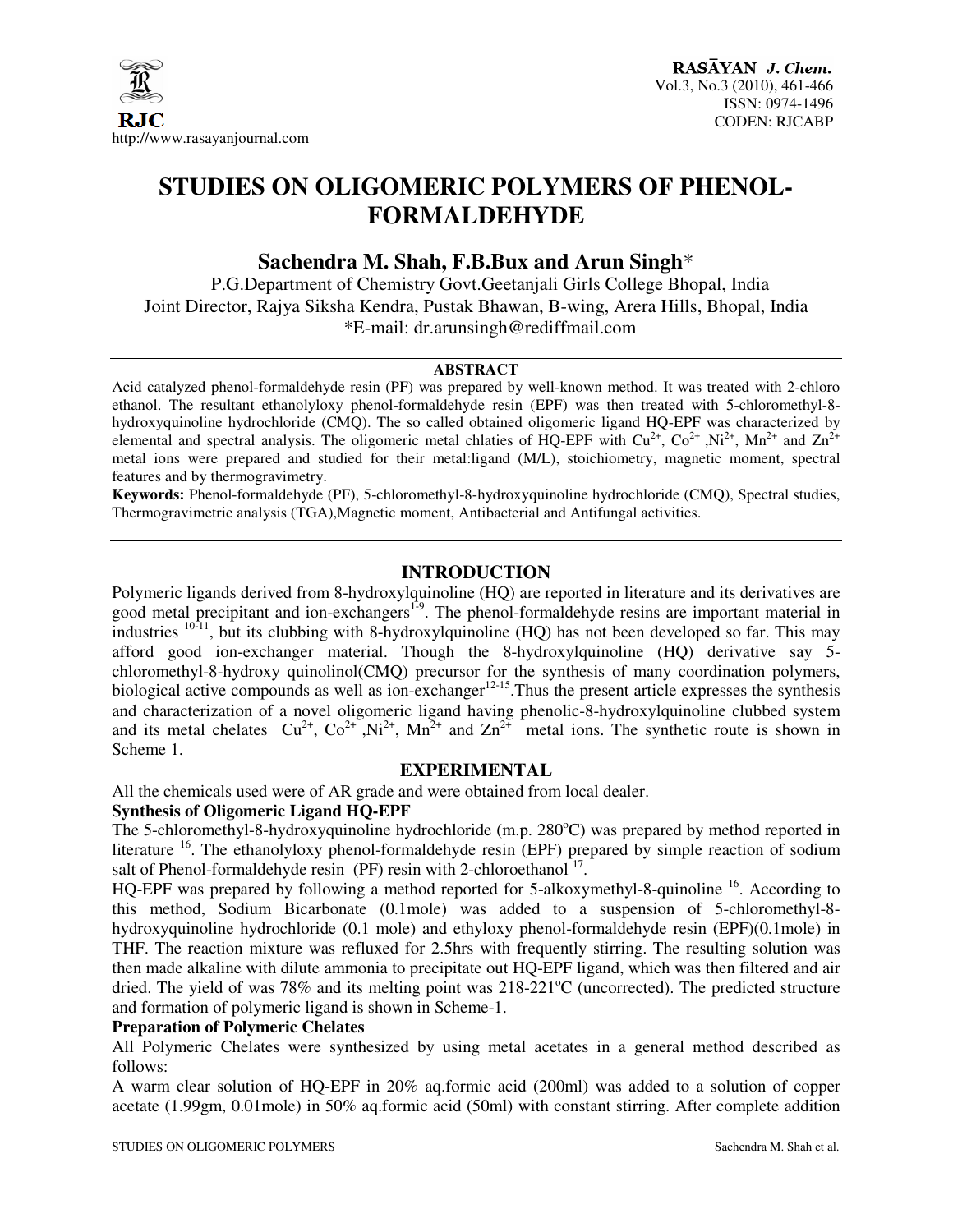

# **STUDIES ON OLIGOMERIC POLYMERS OF PHENOL-FORMALDEHYDE**

# **Sachendra M. Shah, F.B.Bux and Arun Singh**\*

P.G.Department of Chemistry Govt.Geetanjali Girls College Bhopal, India Joint Director, Rajya Siksha Kendra, Pustak Bhawan, B-wing, Arera Hills, Bhopal, India \*E-mail: dr.arunsingh@rediffmail.com

#### **ABSTRACT**

Acid catalyzed phenol-formaldehyde resin (PF) was prepared by well-known method. It was treated with 2-chloro ethanol. The resultant ethanolyloxy phenol-formaldehyde resin (EPF) was then treated with 5-chloromethyl-8 hydroxyquinoline hydrochloride (CMQ). The so called obtained oligomeric ligand HQ-EPF was characterized by elemental and spectral analysis. The oligomeric metal chlaties of HQ-EPF with  $Cu^{2+}$ ,  $Co^{2+}$ ,  $Ni^{2+}$ , Mn<sup>2+</sup> and Zn<sup>2+</sup> metal ions were prepared and studied for their metal:ligand (M/L), stoichiometry, magnetic moment, spectral features and by thermogravimetry.

**Keywords:** Phenol-formaldehyde (PF), 5-chloromethyl-8-hydroxyquinoline hydrochloride (CMQ), Spectral studies, Thermogravimetric analysis (TGA),Magnetic moment, Antibacterial and Antifungal activities.

### **INTRODUCTION**

Polymeric ligands derived from 8-hydroxylquinoline (HQ) are reported in literature and its derivatives are good metal precipitant and ion-exchangers<sup>1-9</sup>. The phenol-formaldehyde resins are important material in industries  $^{10-11}$ , but its clubbing with 8-hydroxylquinoline (HQ) has not been developed so far. This may afford good ion-exchanger material. Though the 8-hydroxylquinoline (HQ) derivative say 5 chloromethyl-8-hydroxy quinolinol(CMQ) precursor for the synthesis of many coordination polymers, biological active compounds as well as ion-exchanger $12-15$ . Thus the present article expresses the synthesis and characterization of a novel oligomeric ligand having phenolic-8-hydroxylquinoline clubbed system and its metal chelates  $Cu^{2+}$ ,  $Co^{2+}$ ,  $Ni^{2+}$ ,  $Mn^{2+}$  and  $Zn^{2+}$  metal ions. The synthetic route is shown in Scheme 1.

## **EXPERIMENTAL**

All the chemicals used were of AR grade and were obtained from local dealer.

#### **Synthesis of Oligomeric Ligand HQ-EPF**

The 5-chloromethyl-8-hydroxyquinoline hydrochloride (m.p.  $280^{\circ}$ C) was prepared by method reported in literature <sup>16</sup>. The ethanolyloxy phenol-formaldehyde resin (EPF) prepared by simple reaction of sodium salt of Phenol-formaldehyde resin (PF) resin with 2-chloroethanol<sup>17</sup>.

HQ-EPF was prepared by following a method reported for 5-alkoxymethyl-8-quinoline <sup>16</sup>. According to this method, Sodium Bicarbonate (0.1mole) was added to a suspension of 5-chloromethyl-8 hydroxyquinoline hydrochloride (0.1 mole) and ethyloxy phenol-formaldehyde resin (EPF)(0.1mole) in THF. The reaction mixture was refluxed for 2.5hrs with frequently stirring. The resulting solution was then made alkaline with dilute ammonia to precipitate out HQ-EPF ligand, which was then filtered and air dried. The yield of was 78% and its melting point was  $218{\text -}221^{\circ}\text{C}$  (uncorrected). The predicted structure and formation of polymeric ligand is shown in Scheme-1.

#### **Preparation of Polymeric Chelates**

All Polymeric Chelates were synthesized by using metal acetates in a general method described as follows:

A warm clear solution of HQ-EPF in 20% aq.formic acid (200ml) was added to a solution of copper acetate (1.99gm, 0.01mole) in 50% aq.formic acid (50ml) with constant stirring. After complete addition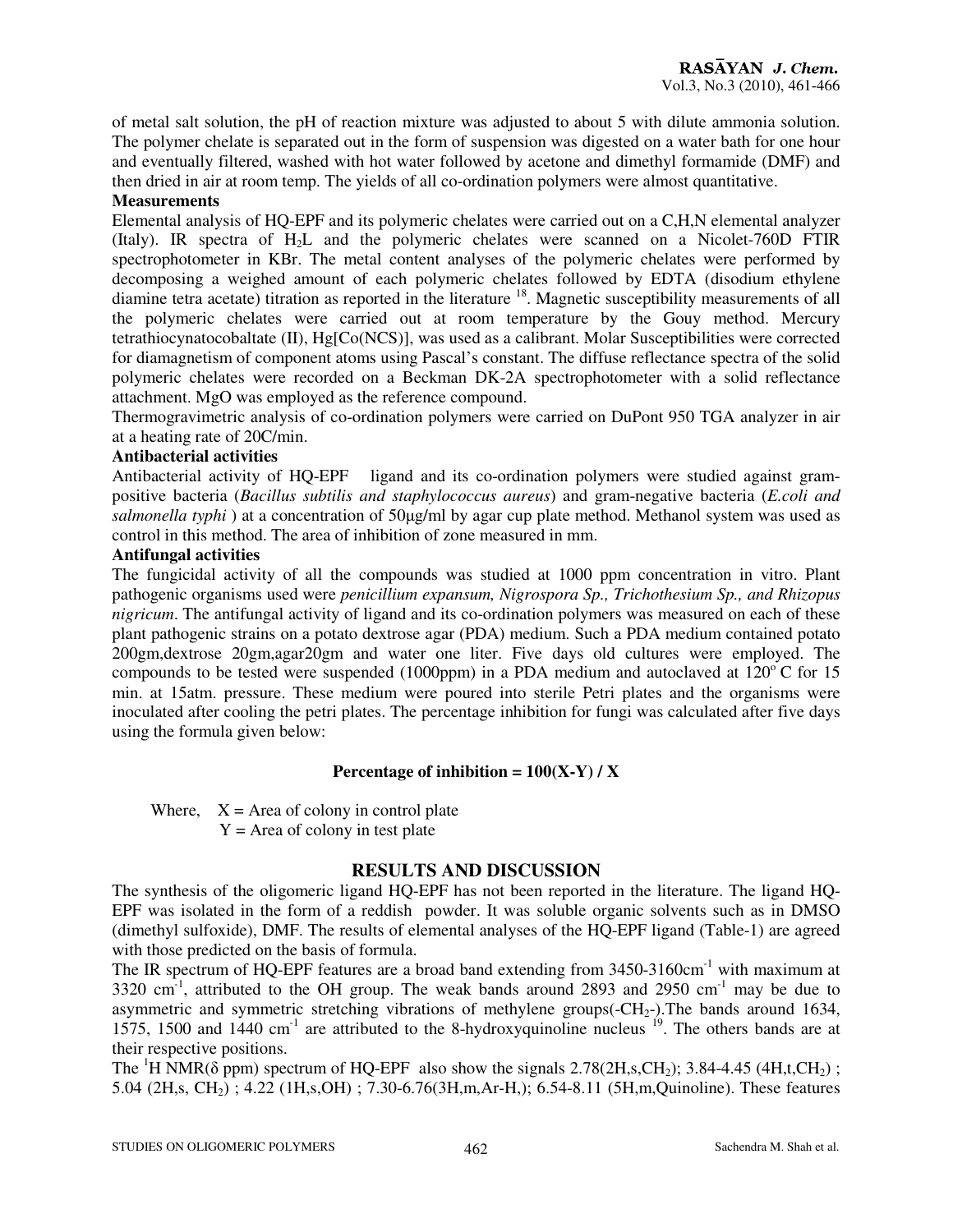of metal salt solution, the pH of reaction mixture was adjusted to about 5 with dilute ammonia solution. The polymer chelate is separated out in the form of suspension was digested on a water bath for one hour and eventually filtered, washed with hot water followed by acetone and dimethyl formamide (DMF) and then dried in air at room temp. The yields of all co-ordination polymers were almost quantitative.

## **Measurements**

Elemental analysis of HQ-EPF and its polymeric chelates were carried out on a C,H,N elemental analyzer (Italy). IR spectra of H2L and the polymeric chelates were scanned on a Nicolet-760D FTIR spectrophotometer in KBr. The metal content analyses of the polymeric chelates were performed by decomposing a weighed amount of each polymeric chelates followed by EDTA (disodium ethylene diamine tetra acetate) titration as reported in the literature <sup>18</sup>. Magnetic susceptibility measurements of all the polymeric chelates were carried out at room temperature by the Gouy method. Mercury tetrathiocynatocobaltate (II), Hg[Co(NCS)], was used as a calibrant. Molar Susceptibilities were corrected for diamagnetism of component atoms using Pascal's constant. The diffuse reflectance spectra of the solid polymeric chelates were recorded on a Beckman DK-2A spectrophotometer with a solid reflectance attachment. MgO was employed as the reference compound.

Thermogravimetric analysis of co-ordination polymers were carried on DuPont 950 TGA analyzer in air at a heating rate of 20C/min.

## **Antibacterial activities**

Antibacterial activity of HQ-EPF ligand and its co-ordination polymers were studied against grampositive bacteria (*Bacillus subtilis and staphylococcus aureus*) and gram-negative bacteria (*E.coli and salmonella typhi* ) at a concentration of 50µg/ml by agar cup plate method. Methanol system was used as control in this method. The area of inhibition of zone measured in mm.

## **Antifungal activities**

The fungicidal activity of all the compounds was studied at 1000 ppm concentration in vitro. Plant pathogenic organisms used were *penicillium expansum, Nigrospora Sp., Trichothesium Sp., and Rhizopus nigricum*. The antifungal activity of ligand and its co-ordination polymers was measured on each of these plant pathogenic strains on a potato dextrose agar (PDA) medium. Such a PDA medium contained potato 200gm,dextrose 20gm,agar20gm and water one liter. Five days old cultures were employed. The compounds to be tested were suspended (1000ppm) in a PDA medium and autoclaved at  $120^{\circ}$ C for 15 min. at 15atm. pressure. These medium were poured into sterile Petri plates and the organisms were inoculated after cooling the petri plates. The percentage inhibition for fungi was calculated after five days using the formula given below:

## **Percentage of inhibition =**  $100(X-Y) / X$

Where,  $X = \text{Area of colony in control plate}$  $Y =$  Area of colony in test plate

## **RESULTS AND DISCUSSION**

The synthesis of the oligomeric ligand HQ-EPF has not been reported in the literature. The ligand HQ-EPF was isolated in the form of a reddish powder. It was soluble organic solvents such as in DMSO (dimethyl sulfoxide), DMF. The results of elemental analyses of the HQ-EPF ligand (Table-1) are agreed with those predicted on the basis of formula.

The IR spectrum of HQ-EPF features are a broad band extending from 3450-3160cm<sup>-1</sup> with maximum at  $3320 \text{ cm}^{-1}$ , attributed to the OH group. The weak bands around 2893 and 2950 cm<sup>-1</sup> may be due to asymmetric and symmetric stretching vibrations of methylene groups( $\text{-CH}_2$ -). The bands around 1634, 1575, 1500 and  $1440 \text{ cm}^{-1}$  are attributed to the 8-hydroxyquinoline nucleus  $19$ . The others bands are at their respective positions.

The <sup>1</sup>H NMR( $\delta$  ppm) spectrum of HO-EPF also show the signals 2.78(2H,s,CH<sub>2</sub>); 3.84-4.45 (4H,t,CH<sub>2</sub>); 5.04 (2H,s, CH2) ; 4.22 (1H,s,OH) ; 7.30-6.76(3H,m,Ar-H,); 6.54-8.11 (5H,m,Quinoline). These features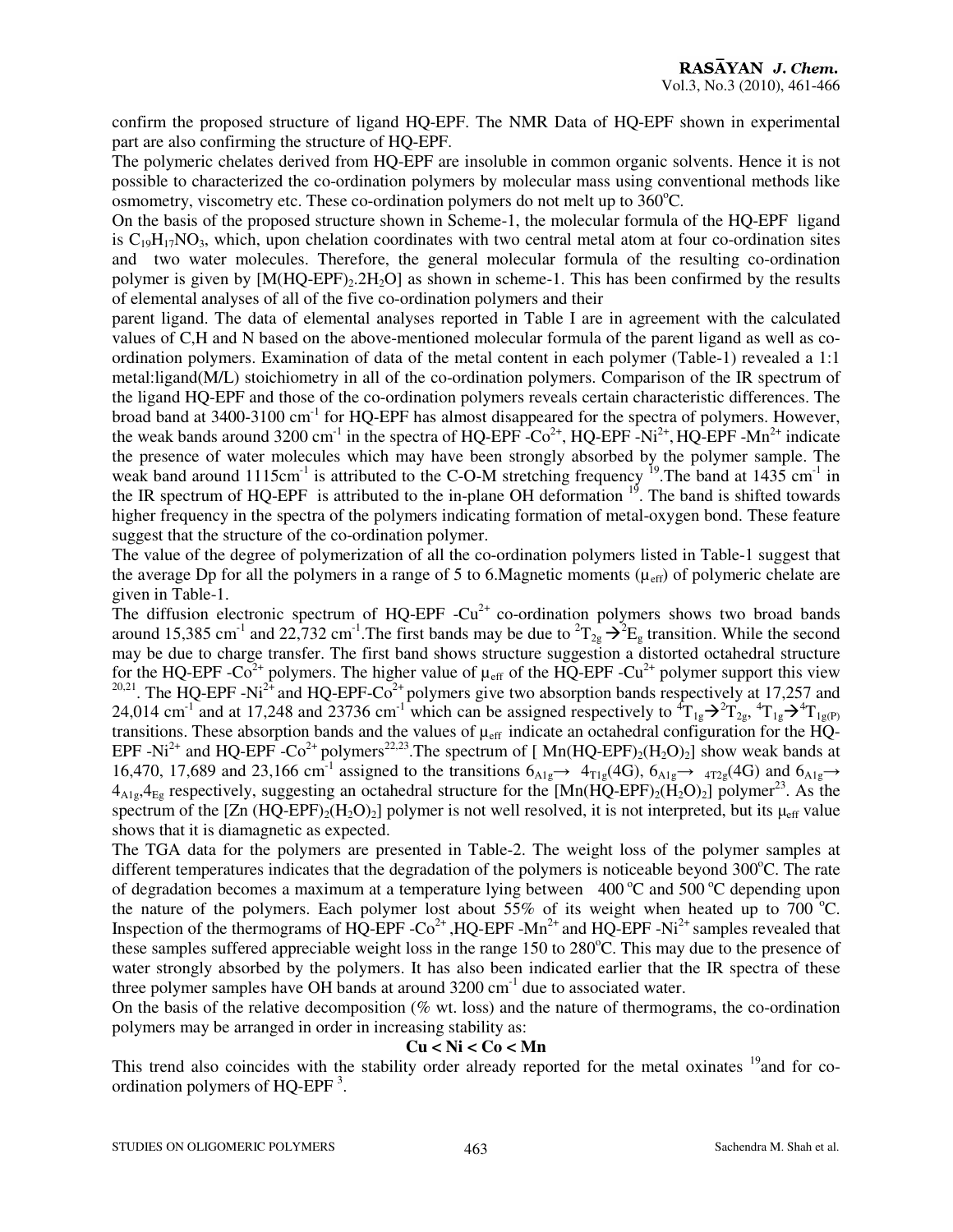confirm the proposed structure of ligand HQ-EPF. The NMR Data of HQ-EPF shown in experimental part are also confirming the structure of HQ-EPF.

The polymeric chelates derived from HQ-EPF are insoluble in common organic solvents. Hence it is not possible to characterized the co-ordination polymers by molecular mass using conventional methods like osmometry, viscometry etc. These co-ordination polymers do not melt up to  $360^{\circ}$ C.

On the basis of the proposed structure shown in Scheme-1, the molecular formula of the HQ-EPF ligand is  $C_{19}H_{17}NO_3$ , which, upon chelation coordinates with two central metal atom at four co-ordination sites and two water molecules. Therefore, the general molecular formula of the resulting co-ordination polymer is given by  $[M(HQ-EPF),2H_2O]$  as shown in scheme-1. This has been confirmed by the results of elemental analyses of all of the five co-ordination polymers and their

parent ligand. The data of elemental analyses reported in Table I are in agreement with the calculated values of C,H and N based on the above-mentioned molecular formula of the parent ligand as well as coordination polymers. Examination of data of the metal content in each polymer (Table-1) revealed a 1:1 metal:ligand(M/L) stoichiometry in all of the co-ordination polymers. Comparison of the IR spectrum of the ligand HQ-EPF and those of the co-ordination polymers reveals certain characteristic differences. The broad band at 3400-3100 cm-1 for HQ-EPF has almost disappeared for the spectra of polymers. However, the weak bands around 3200 cm<sup>-1</sup> in the spectra of HQ-EPF  $-Co^{2+}$ , HQ-EPF  $-Ni^{2+}$ , HQ-EPF  $-Mn^{2+}$  indicate the presence of water molecules which may have been strongly absorbed by the polymer sample. The weak band around 1115cm<sup>-1</sup> is attributed to the C-O-M stretching frequency <sup>19</sup>. The band at 1435 cm<sup>-1</sup> in the IR spectrum of HQ-EPF is attributed to the in-plane OH deformation  $19$ . The band is shifted towards higher frequency in the spectra of the polymers indicating formation of metal-oxygen bond. These feature suggest that the structure of the co-ordination polymer.

The value of the degree of polymerization of all the co-ordination polymers listed in Table-1 suggest that the average Dp for all the polymers in a range of 5 to 6. Magnetic moments  $(\mu_{eff})$  of polymeric chelate are given in Table-1.

The diffusion electronic spectrum of HQ-EPF  $-Cu^{2+}$  co-ordination polymers shows two broad bands around 15,385 cm<sup>-1</sup> and 22,732 cm<sup>-1</sup>. The first bands may be due to  ${}^{2}T_{2g} \rightarrow {}^{2}E_{g}$  transition. While the second may be due to charge transfer. The first band shows structure suggestion a distorted octahedral structure for the HQ-EPF - $Co^{2+}$  polymers. The higher value of  $\mu_{eff}$  of the HQ-EPF -Cu<sup>2+</sup> polymer support this view <sup>20,21</sup>. The HQ-EPF -Ni<sup>2+</sup> and HQ-EPF-Co<sup>2+</sup> polymers give two absorption bands respectively at 17,257 and 24,014 cm<sup>-1</sup> and at 17,248 and 23736 cm<sup>-1</sup> which can be assigned respectively to  ${}^4T_{1g} \rightarrow {}^2T_{2g}$ ,  ${}^4T_{1g} \rightarrow {}^4T_{1g(P)}$ transitions. These absorption bands and the values of  $\mu_{eff}$  indicate an octahedral configuration for the HQ-EPF -Ni<sup>2+</sup> and HQ-EPF -Co<sup>2+</sup> polymers<sup>22,23</sup>. The spectrum of [Mn(HQ-EPF)<sub>2</sub>(H<sub>2</sub>O)<sub>2</sub>] show weak bands at 16,470, 17,689 and 23,166 cm<sup>-1</sup> assigned to the transitions  $6_{A1g} \rightarrow 4_{T1g} (4G)$ ,  $6_{A1g} \rightarrow 4_{T2g} (4G)$  and  $6_{A1g} \rightarrow 4_{T2g} (4G)$  $4_{\text{Al}_2}, 4_{\text{E}_2}$  respectively, suggesting an octahedral structure for the  $[Mn(HQ-EPF)_2(H_2O)_2]$  polymer<sup>23</sup>. As the spectrum of the  $[Zn (HQ-EPF)<sub>2</sub>(H<sub>2</sub>O)<sub>2</sub>]$  polymer is not well resolved, it is not interpreted, but its  $\mu_{eff}$  value shows that it is diamagnetic as expected.

The TGA data for the polymers are presented in Table-2. The weight loss of the polymer samples at different temperatures indicates that the degradation of the polymers is noticeable beyond  $300^{\circ}$ C. The rate of degradation becomes a maximum at a temperature lying between  $400^{\circ}$ C and  $500^{\circ}$ C depending upon the nature of the polymers. Each polymer lost about 55% of its weight when heated up to 700  $^{\circ}$ C. Inspection of the thermograms of  $\overrightarrow{HQ\text{-}EPF\text{-}Co}^{2+}$ ,  $HQ\text{-}EPF\text{-}Mn^{2+}$  and  $HQ\text{-}EPF\text{-}Ni^{2+}$  samples revealed that these samples suffered appreciable weight loss in the range  $150$  to  $280^{\circ}$ C. This may due to the presence of water strongly absorbed by the polymers. It has also been indicated earlier that the IR spectra of these three polymer samples have OH bands at around  $3200 \text{ cm}^{-1}$  due to associated water.

On the basis of the relative decomposition ( $\%$  wt. loss) and the nature of thermograms, the co-ordination polymers may be arranged in order in increasing stability as:

#### **Cu < Ni < Co < Mn**

This trend also coincides with the stability order already reported for the metal oxinates <sup>19</sup> and for coordination polymers of HQ-EPF<sup>3</sup>.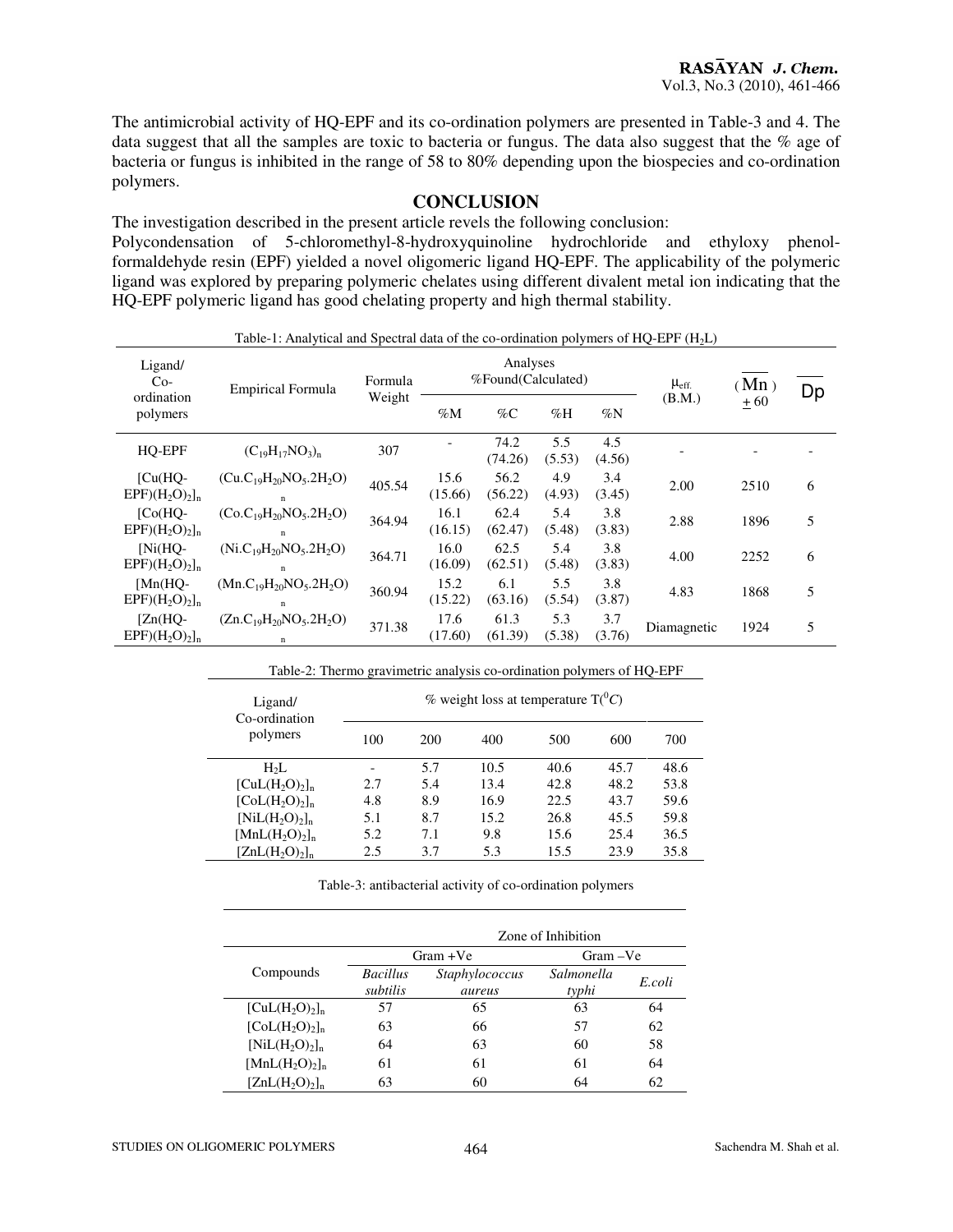The antimicrobial activity of HQ-EPF and its co-ordination polymers are presented in Table-3 and 4. The data suggest that all the samples are toxic to bacteria or fungus. The data also suggest that the % age of bacteria or fungus is inhibited in the range of 58 to 80% depending upon the biospecies and co-ordination polymers.

### **CONCLUSION**

The investigation described in the present article revels the following conclusion:

Polycondensation of 5-chloromethyl-8-hydroxyquinoline hydrochloride and ethyloxy phenolformaldehyde resin (EPF) yielded a novel oligomeric ligand HQ-EPF. The applicability of the polymeric ligand was explored by preparing polymeric chelates using different divalent metal ion indicating that the HQ-EPF polymeric ligand has good chelating property and high thermal stability.

| Table-1: Analytical and Spectral data of the co-ordination polymers of HQ-EPF $(H2L)$ |                                              |                   |                                |                 |               |               |                  |       |    |
|---------------------------------------------------------------------------------------|----------------------------------------------|-------------------|--------------------------------|-----------------|---------------|---------------|------------------|-------|----|
| Ligand/<br>$Co-$                                                                      | <b>Empirical Formula</b>                     | Formula<br>Weight | Analyses<br>%Found(Calculated) |                 |               |               | $\mu_{\rm eff.}$ | (Mn)  | Dp |
| ordination<br>polymers                                                                |                                              |                   | $\%M$                          | $\%C$           | $\%$ H        | $\%N$         | (B.M.)           | $+60$ |    |
| HQ-EPF                                                                                | $(C_{19}H_{17}NO_3)_n$                       | 307               |                                | 74.2<br>(74.26) | 5.5<br>(5.53) | 4.5<br>(4.56) |                  |       |    |
| $ICu(HQ-$<br>$EPF)(H_2O)_2]_n$                                                        | $(Cu.C_{19}H_{20}NO_5.2H_2O)$<br>$\mathbf n$ | 405.54            | 15.6<br>(15.66)                | 56.2<br>(56.22) | 4.9<br>(4.93) | 3.4<br>(3.45) | 2.00             | 2510  | 6  |
| $[Co(HQ-$<br>$EPF)(H_2O)_2]_n$                                                        | $(Co.C19H20NO5.2H2O)$<br>$\mathbf n$         | 364.94            | 16.1<br>(16.15)                | 62.4<br>(62.47) | 5.4<br>(5.48) | 3.8<br>(3.83) | 2.88             | 1896  | 5  |
| $[Ni(HO-$<br>$EPF)(H_2O)_2]_n$                                                        | $(Ni.C_{19}H_{20}NO_5.2H_2O)$<br>$\mathbf n$ | 364.71            | 16.0<br>(16.09)                | 62.5<br>(62.51) | 5.4<br>(5.48) | 3.8<br>(3.83) | 4.00             | 2252  | 6  |
| $[Mn(HO-$<br>$EPF)(H_2O)_2]_n$                                                        | $(Mn.C_{19}H_{20}NO_5.2H_2O)$<br>$\mathbf n$ | 360.94            | 15.2<br>(15.22)                | 6.1<br>(63.16)  | 5.5<br>(5.54) | 3.8<br>(3.87) | 4.83             | 1868  | 5  |
| $[Zn(HQ-$<br>$EPF)(H_2O)_2]_n$                                                        | $(Zn.C_{19}H_{20}NO_5.2H_2O)$<br>n           | 371.38            | 17.6<br>(17.60)                | 61.3<br>(61.39) | 5.3<br>(5.38) | 3.7<br>(3.76) | Diamagnetic      | 1924  | 5  |

| Ligand/<br>Co-ordination   | Table-2: Thermo gravimetric analysis co-ordination polymers of HQ-EPF<br>% weight loss at temperature $T(^0C)$ |     |      |      |      |      |  |
|----------------------------|----------------------------------------------------------------------------------------------------------------|-----|------|------|------|------|--|
| polymers                   | 100                                                                                                            | 200 | 400  | 500  | 600  | 700  |  |
| $H_2L$                     |                                                                                                                | 5.7 | 10.5 | 40.6 | 45.7 | 48.6 |  |
| $[CuL(H2O)2]n$             | 2.7                                                                                                            | 5.4 | 13.4 | 42.8 | 48.2 | 53.8 |  |
| $[CoL(H2O)2]n$             | 4.8                                                                                                            | 8.9 | 16.9 | 22.5 | 43.7 | 59.6 |  |
| $[NiL(H2O)2]n$             | 5.1                                                                                                            | 8.7 | 15.2 | 26.8 | 45.5 | 59.8 |  |
| $[MnL(H2O)2]$ <sub>n</sub> | 5.2                                                                                                            | 7.1 | 9.8  | 15.6 | 25.4 | 36.5 |  |
| $[ZnL(H,O),]_n$            | 2.5                                                                                                            | 3.7 | 5.3  | 15.5 | 23.9 | 35.8 |  |

Table-3: antibacterial activity of co-ordination polymers

|                  | Zone of Inhibition          |                          |                     |        |  |  |
|------------------|-----------------------------|--------------------------|---------------------|--------|--|--|
|                  |                             | $Gram + Ve$              | Gram – Ve           |        |  |  |
| Compounds        | <b>Bacillus</b><br>subtilis | Staphylococcus<br>aureus | Salmonella<br>typhi | E.coli |  |  |
| $[CuL(H2O)2]_n$  | 57                          | 65                       | 63                  | 64     |  |  |
| $[Col(H,0),]_n$  | 63                          | 66                       | 57                  | 62     |  |  |
| $[NiL(H,0),]_n$  | 64                          | 63                       | 60                  | 58     |  |  |
| $[MnL(H2O)2]n$   | 61                          | 61                       | 61                  | 64     |  |  |
| $[ZnL(H, O),]_n$ | 63                          | 60                       | 64                  | 62     |  |  |

 $\mathbf{r}$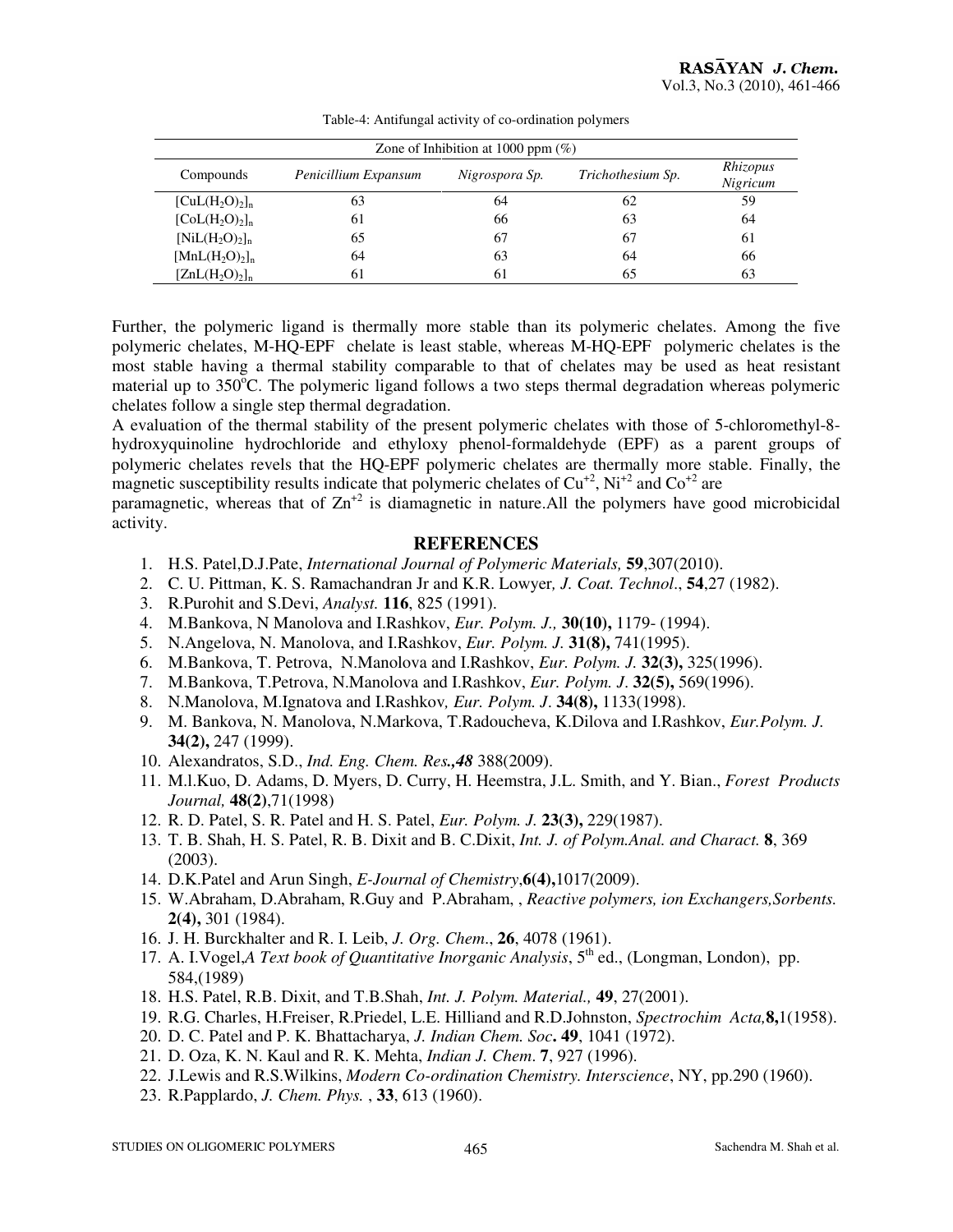| Zone of Inhibition at 1000 ppm $(\%)$ |                      |                |                   |                      |  |  |  |  |
|---------------------------------------|----------------------|----------------|-------------------|----------------------|--|--|--|--|
| Compounds                             | Penicillium Expansum | Nigrospora Sp. | Trichothesium Sp. | Rhizopus<br>Nigricum |  |  |  |  |
| $[CuL(H2O)2]$ <sub>n</sub>            | 63                   | 64             | 62                | 59                   |  |  |  |  |
| $[Col(H2O)2]$ <sub>n</sub>            | 61                   | 66             | 63                | 64                   |  |  |  |  |
| $[NiL(H_2O)_2]_n$                     | 65                   | 67             | 67                | 61                   |  |  |  |  |
| $[MnL(H2O)2]n$                        | 64                   | 63             | 64                | 66                   |  |  |  |  |
| $[ZnL(H_2O)_2]_n$                     | 61                   | 61             | 65                | 63                   |  |  |  |  |

Table-4: Antifungal activity of co-ordination polymers

Further, the polymeric ligand is thermally more stable than its polymeric chelates. Among the five polymeric chelates, M-HQ-EPF chelate is least stable, whereas M-HQ-EPF polymeric chelates is the most stable having a thermal stability comparable to that of chelates may be used as heat resistant material up to 350°C. The polymeric ligand follows a two steps thermal degradation whereas polymeric chelates follow a single step thermal degradation.

A evaluation of the thermal stability of the present polymeric chelates with those of 5-chloromethyl-8 hydroxyquinoline hydrochloride and ethyloxy phenol-formaldehyde (EPF) as a parent groups of polymeric chelates revels that the HQ-EPF polymeric chelates are thermally more stable. Finally, the magnetic susceptibility results indicate that polymeric chelates of  $Cu^{+2}$ , Ni<sup>+2</sup> and  $Co^{+2}$  are

paramagnetic, whereas that of  $\text{Zn}^{2}$  is diamagnetic in nature. All the polymers have good microbicidal activity.

### **REFERENCES**

- 1. H.S. Patel,D.J.Pate, *International Journal of Polymeric Materials,* **59**,307(2010).
- 2. C. U. Pittman, K. S. Ramachandran Jr and K.R. Lowyer*, J. Coat. Technol*., **54**,27 (1982).
- 3. R.Purohit and S.Devi, *Analyst.* **116**, 825 (1991).
- 4. M.Bankova, N Manolova and I.Rashkov, *Eur. Polym. J.,* **30(10),** 1179- (1994).
- 5. N.Angelova, N. Manolova, and I.Rashkov, *Eur. Polym. J.* **31(8),** 741(1995).
- 6. M.Bankova, T. Petrova, N.Manolova and I.Rashkov, *Eur. Polym. J.* **32(3),** 325(1996).
- 7. M.Bankova, T.Petrova, N.Manolova and I.Rashkov, *Eur. Polym. J*. **32(5),** 569(1996).
- 8. N.Manolova, M.Ignatova and I.Rashkov*, Eur. Polym. J*. **34(8),** 1133(1998).
- 9. M. Bankova, N. Manolova, N.Markova, T.Radoucheva, K.Dilova and I.Rashkov, *Eur.Polym. J.*  **34(2),** 247 (1999).
- 10. Alexandratos, S.D., *Ind. Eng. Chem. Res.,48* 388(2009).
- 11. M.l.Kuo, D. Adams, D. Myers, D. Curry, H. Heemstra, J.L. Smith, and Y. Bian., *Forest Products Journal,* **48(2)**,71(1998)
- 12. R. D. Patel, S. R. Patel and H. S. Patel, *Eur. Polym. J.* **23(3),** 229(1987).
- 13. T. B. Shah, H. S. Patel, R. B. Dixit and B. C.Dixit, *Int. J. of Polym.Anal. and Charact.* **8**, 369 (2003).
- 14. D.K.Patel and Arun Singh, *E-Journal of Chemistry*,**6(4),**1017(2009).
- 15. W.Abraham, D.Abraham, R.Guy and P.Abraham, , *Reactive polymers, ion Exchangers,Sorbents.* **2(4),** 301 (1984).
- 16. J. H. Burckhalter and R. I. Leib, *J. Org. Chem*., **26**, 4078 (1961).
- 17. A. I.Vogel,*A Text book of Quantitative Inorganic Analysis*, 5<sup>th</sup> ed., (Longman, London), pp. 584,(1989)
- 18. H.S. Patel, R.B. Dixit, and T.B.Shah, *Int. J. Polym. Material.,* **49**, 27(2001).
- 19. R.G. Charles, H.Freiser, R.Priedel, L.E. Hilliand and R.D.Johnston, *Spectrochim Acta,***8,**1(1958).
- 20. D. C. Patel and P. K. Bhattacharya, *J. Indian Chem. Soc***. 49**, 1041 (1972).
- 21. D. Oza, K. N. Kaul and R. K. Mehta, *Indian J. Chem*. **7**, 927 (1996).
- 22. J.Lewis and R.S.Wilkins, *Modern Co-ordination Chemistry. Interscience*, NY, pp.290 (1960).
- 23. R.Papplardo, *J. Chem. Phys.* , **33**, 613 (1960).